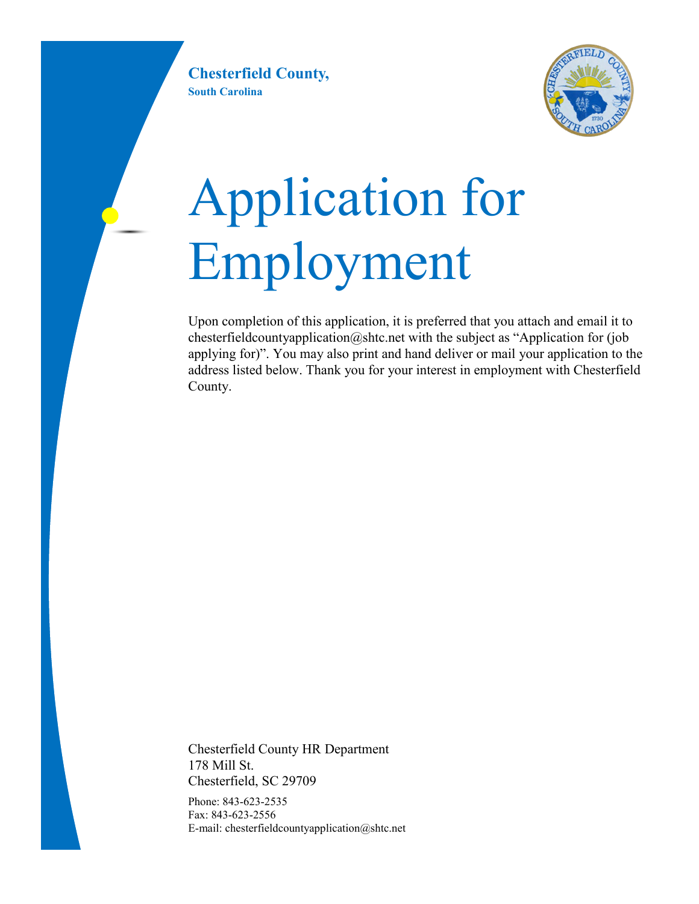**Chesterfield County, South Carolina**



# Application for Employment

Upon completion of this application, it is preferred that you attach and email it to chesterfieldcountyapplication@shtc.net with the subject as "Application for (job applying for)". You may also print and hand deliver or mail your application to the address listed below. Thank you for your interest in employment with Chesterfield County.

Chesterfield County HR Department 178 Mill St. Chesterfield, SC 29709

Phone: 843-623-2535 Fax: 843-623-2556 E-mail: chesterfieldcountyapplication@shtc.net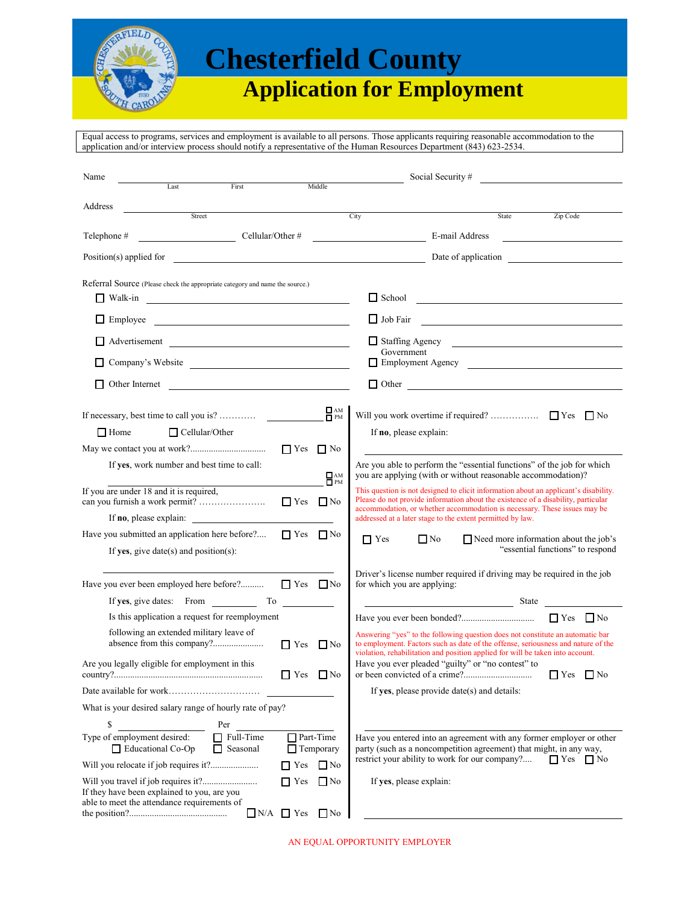

## **Chesterfield County**

### **Application for Employment**

Equal access to programs, services and employment is available to all persons. Those applicants requiring reasonable accommodation to the application and/or interview process should notify a representative of the Human Resources Department (843) 623-2534.

| Name                                                                                                                                                                            | Social Security #                                                                                                                                                                                                                                      |
|---------------------------------------------------------------------------------------------------------------------------------------------------------------------------------|--------------------------------------------------------------------------------------------------------------------------------------------------------------------------------------------------------------------------------------------------------|
| Middle<br>Last<br>First                                                                                                                                                         |                                                                                                                                                                                                                                                        |
| Address<br>Street                                                                                                                                                               | City<br>Zip Code<br>State                                                                                                                                                                                                                              |
| Telephone #<br>Cellular/Other #                                                                                                                                                 | E-mail Address                                                                                                                                                                                                                                         |
|                                                                                                                                                                                 |                                                                                                                                                                                                                                                        |
|                                                                                                                                                                                 | Date of application                                                                                                                                                                                                                                    |
| Referral Source (Please check the appropriate category and name the source.)                                                                                                    |                                                                                                                                                                                                                                                        |
| $\Box$ Walk-in                                                                                                                                                                  | $\Box$ School $\Box$                                                                                                                                                                                                                                   |
| $\Box$ Employee<br><u> 1989 - Johann Barbara, martin amerikan basar da</u>                                                                                                      | $\Box$ Job Fair<br><u> 1989 - Johann Harry Harry Harry Harry Harry Harry Harry Harry Harry Harry Harry Harry Harry Harry Harry Harry</u>                                                                                                               |
| Advertisement                                                                                                                                                                   | Staffing Agency                                                                                                                                                                                                                                        |
| Company's Website                                                                                                                                                               | Government                                                                                                                                                                                                                                             |
| Other Internet                                                                                                                                                                  | $\Box$ Other<br><u> 1980 - Johann Barn, mars ann an t-Amhain Aonaich an t-Aonaich an t-Aonaich ann an t-Aonaich ann an t-Aonaich</u>                                                                                                                   |
| $\Gamma_{\rm PM}$<br>If necessary, best time to call you is?                                                                                                                    | $\Box$ No                                                                                                                                                                                                                                              |
| $\Box$ Home<br>$\Box$ Cellular/Other                                                                                                                                            | If no, please explain:                                                                                                                                                                                                                                 |
| $\Box$ Yes $\Box$ No                                                                                                                                                            |                                                                                                                                                                                                                                                        |
| If yes, work number and best time to call:                                                                                                                                      | Are you able to perform the "essential functions" of the job for which                                                                                                                                                                                 |
| $\Box$ AM<br>$\Box$ PM                                                                                                                                                          | you are applying (with or without reasonable accommodation)?                                                                                                                                                                                           |
| If you are under 18 and it is required,<br>$\Box$ Yes $\Box$ No                                                                                                                 | This question is not designed to elicit information about an applicant's disability.<br>Please do not provide information about the existence of a disability, particular<br>accommodation, or whether accommodation is necessary. These issues may be |
| Have you submitted an application here before?<br>$\Gamma$ Yes<br>$\Box$ No                                                                                                     | addressed at a later stage to the extent permitted by law.                                                                                                                                                                                             |
| If yes, give date(s) and position(s):                                                                                                                                           | $\Box$ Yes<br>$\Box$ No<br>$\Box$ Need more information about the job's<br>"essential functions" to respond                                                                                                                                            |
| Have you ever been employed here before?<br>$\Box$ Yes $\Box$ No                                                                                                                | Driver's license number required if driving may be required in the job<br>for which you are applying:                                                                                                                                                  |
| If yes, give dates: From To<br>$\label{eq:2} \begin{split} \mathcal{L}_{\text{max}}(\mathcal{L}_{\text{max}}) = \mathcal{L}_{\text{max}}(\mathcal{L}_{\text{max}}) \end{split}$ |                                                                                                                                                                                                                                                        |
| Is this application a request for reemployment                                                                                                                                  | $\Box$ No                                                                                                                                                                                                                                              |
| following an extended military leave of<br>$\Box$ Yes<br>$\Box$ No                                                                                                              | Answering "yes" to the following question does not constitute an automatic bar<br>to employment. Factors such as date of the offense, seriousness and nature of the                                                                                    |
| Are you legally eligible for employment in this<br>$\Box$ Yes<br>$\Box$ No                                                                                                      | violation, rehabilitation and position applied for will be taken into account.<br>Have you ever pleaded "guilty" or "no contest" to<br>$\Box$ Yes $\Box$ No                                                                                            |
|                                                                                                                                                                                 | If yes, please provide date(s) and details:                                                                                                                                                                                                            |
| What is your desired salary range of hourly rate of pay?                                                                                                                        |                                                                                                                                                                                                                                                        |
| \$<br>Per                                                                                                                                                                       |                                                                                                                                                                                                                                                        |
| Type of employment desired:<br>Part-Time<br>$\Box$ Full-Time<br>Educational Co-Op<br>$\Box$ Seasonal<br>$\Box$ Temporary                                                        | Have you entered into an agreement with any former employer or other<br>party (such as a noncompetition agreement) that might, in any way,                                                                                                             |
| Will you relocate if job requires it?<br>$\Box$ No<br>$\Box$ Yes                                                                                                                | restrict your ability to work for our company?<br>$\Box$ Yes $\Box$ No                                                                                                                                                                                 |
| $\Box$ Yes<br>$\Box$ No<br>If they have been explained to you, are you<br>able to meet the attendance requirements of                                                           | If yes, please explain:                                                                                                                                                                                                                                |
| $\Box$ No<br>$\Box$ N/A $\Box$ Yes                                                                                                                                              |                                                                                                                                                                                                                                                        |

AN EQUAL OPPORTUNITY EMPLOYER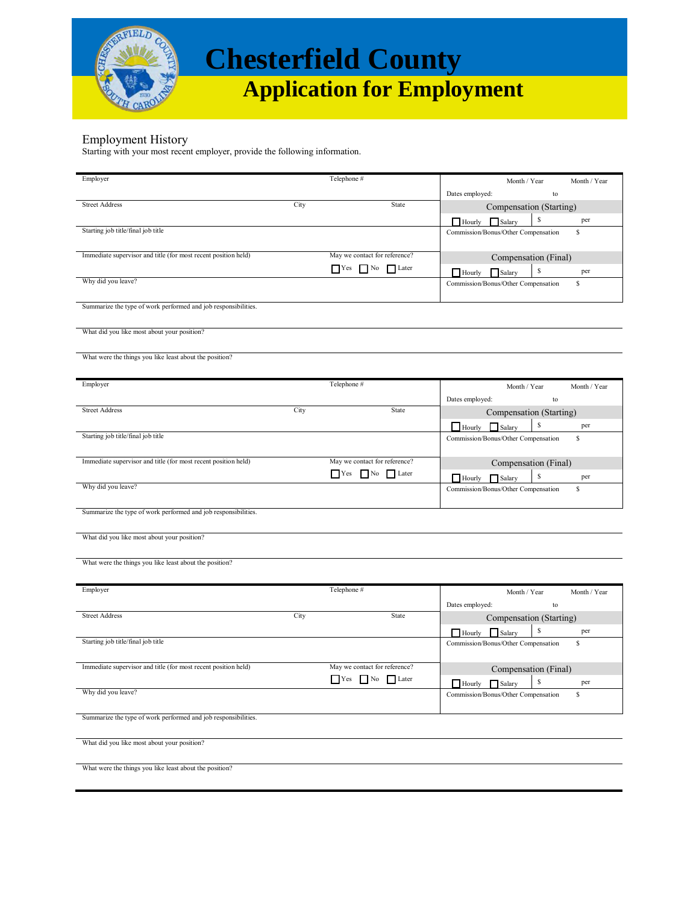

## **Chesterfield County**

 **Application for Employment**

#### Employment History

Starting with your most recent employer, provide the following information.

| Employer                                                       |      | Telephone #                       |                                            |
|----------------------------------------------------------------|------|-----------------------------------|--------------------------------------------|
|                                                                |      |                                   | Month / Year<br>Month / Year               |
|                                                                |      |                                   | Dates employed:<br>to                      |
| <b>Street Address</b>                                          | City | State                             | Compensation (Starting)                    |
|                                                                |      |                                   | S<br>per<br>$\Box$ Hourly<br>$\Box$ Salary |
| Starting job title/final job title                             |      |                                   | Commission/Bonus/Other Compensation<br>s   |
|                                                                |      |                                   |                                            |
| Immediate supervisor and title (for most recent position held) |      | May we contact for reference?     | Compensation (Final)                       |
|                                                                |      | $\Box$ Yes $\Box$ No<br>Later     | \$<br>Salary<br>per<br>$\Box$ Hourly       |
| Why did you leave?                                             |      |                                   | Commission/Bonus/Other Compensation<br>\$  |
|                                                                |      |                                   |                                            |
| Summarize the type of work performed and job responsibilities. |      |                                   |                                            |
|                                                                |      |                                   |                                            |
| What did you like most about your position?                    |      |                                   |                                            |
|                                                                |      |                                   |                                            |
| What were the things you like least about the position?        |      |                                   |                                            |
|                                                                |      |                                   |                                            |
| Employer                                                       |      | Telephone #                       |                                            |
|                                                                |      |                                   | Month / Year<br>Month / Year               |
| <b>Street Address</b>                                          | City | State                             | Dates employed:<br>to                      |
|                                                                |      |                                   | Compensation (Starting)                    |
|                                                                |      |                                   | S<br>per<br>$\Box$ Hourly<br>$\Box$ Salary |
| Starting job title/final job title                             |      |                                   | Commission/Bonus/Other Compensation<br>s   |
|                                                                |      |                                   |                                            |
| Immediate supervisor and title (for most recent position held) |      | May we contact for reference?     | Compensation (Final)                       |
|                                                                |      | Yes No Later                      | S<br>per<br>$\Box$ Hourly<br>$\Box$ Salary |
| Why did you leave?                                             |      |                                   | Commission/Bonus/Other Compensation<br>s   |
|                                                                |      |                                   |                                            |
| Summarize the type of work performed and job responsibilities. |      |                                   |                                            |
|                                                                |      |                                   |                                            |
| What did you like most about your position?                    |      |                                   |                                            |
|                                                                |      |                                   |                                            |
| What were the things you like least about the position?        |      |                                   |                                            |
|                                                                |      |                                   |                                            |
| Employer                                                       |      | Telephone #                       | Month / Year<br>Month / Year               |
|                                                                |      |                                   | Dates employed:<br>$\mathop{\mathrm{to}}$  |
| <b>Street Address</b>                                          | City | State                             | Compensation (Starting)                    |
|                                                                |      |                                   | S                                          |
| Starting job title/final job title                             |      |                                   | per<br>$\Box$ Hourly<br>Salary<br>s        |
|                                                                |      |                                   | Commission/Bonus/Other Compensation        |
| Immediate supervisor and title (for most recent position held) |      | May we contact for reference?     |                                            |
|                                                                |      | $\Box$ Yes $\Box$ No $\Box$ Later | Compensation (Final)                       |
|                                                                |      |                                   | $\mathbf{s}$<br>per<br>Hourly<br>Salary    |
| Why did you leave?                                             |      |                                   | \$<br>Commission/Bonus/Other Compensation  |
|                                                                |      |                                   |                                            |
| Summarize the type of work performed and job responsibilities. |      |                                   |                                            |
|                                                                |      |                                   |                                            |
| What did you like most about your position?                    |      |                                   |                                            |
|                                                                |      |                                   |                                            |
| What were the things you like least about the position?        |      |                                   |                                            |
|                                                                |      |                                   |                                            |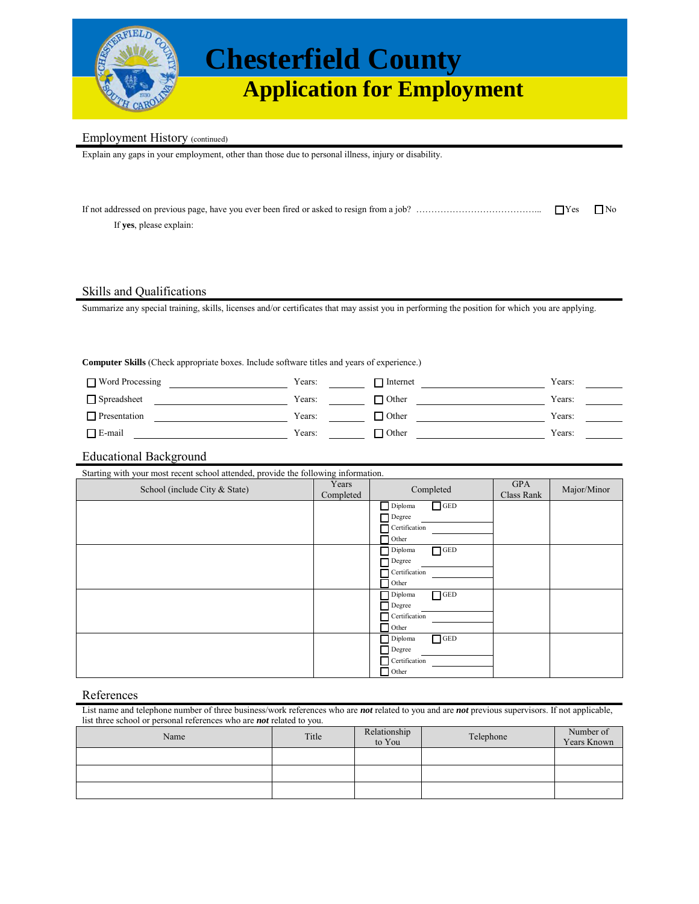

## **Chesterfield County Application for Employment**

#### Employment History (continued)

Explain any gaps in your employment, other than those due to personal illness, injury or disability.

| If <b>yes</b> , please explain: |  |
|---------------------------------|--|

#### Skills and Qualifications

Summarize any special training, skills, licenses and/or certificates that may assist you in performing the position for which you are applying.

**Computer Skills** (Check appropriate boxes. Include software titles and years of experience.)

| ■ Word Processing   | Years: | Internet       | Years: |
|---------------------|--------|----------------|--------|
| □ Spreadsheet       | Years: | <b>1</b> Other | Years: |
| $\Box$ Presentation | Years: | 1 Other        | Years: |
| $\Box$ E-mail       | Years: | 1 Other        | Years: |

#### Educational Background

Starting with your most recent school attended, provide the following information.

| School (include City & State) | Years<br>Completed | Completed             | <b>GPA</b><br>Class Rank | Major/Minor |
|-------------------------------|--------------------|-----------------------|--------------------------|-------------|
|                               |                    | $\Box$ GED<br>Diploma |                          |             |
|                               |                    | Degree                |                          |             |
|                               |                    | Certification         |                          |             |
|                               |                    | Other                 |                          |             |
|                               |                    | $\Box$ GED<br>Diploma |                          |             |
|                               |                    | Degree                |                          |             |
|                               |                    | Certification         |                          |             |
|                               |                    | Other                 |                          |             |
|                               |                    | $\Box$ GED<br>Diploma |                          |             |
|                               |                    | Degree                |                          |             |
|                               |                    | Certification         |                          |             |
|                               |                    | Other                 |                          |             |
|                               |                    | $\Box$ GED<br>Diploma |                          |             |
|                               |                    | Degree                |                          |             |
|                               |                    | Certification         |                          |             |
|                               |                    | Other                 |                          |             |

#### References

List name and telephone number of three business/work references who are *not* related to you and are *not* previous supervisors. If not applicable, list three school or personal references who are *not* related to you.

| Name | Title | Relationship<br>to You | Telephone | Number of<br>Years Known |
|------|-------|------------------------|-----------|--------------------------|
|      |       |                        |           |                          |
|      |       |                        |           |                          |
|      |       |                        |           |                          |